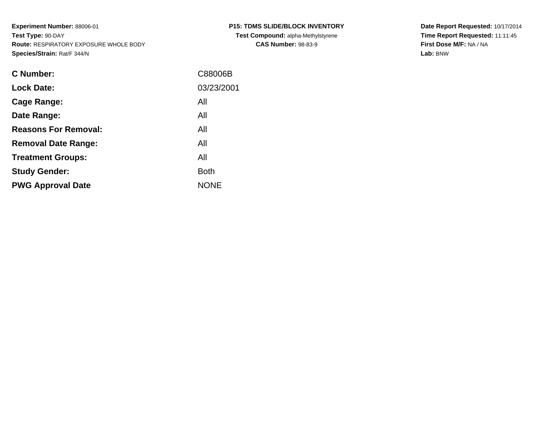| <b>C Number:</b>            | C88006B     |
|-----------------------------|-------------|
| <b>Lock Date:</b>           | 03/23/2001  |
| <b>Cage Range:</b>          | All         |
| Date Range:                 | All         |
| <b>Reasons For Removal:</b> | All         |
| <b>Removal Date Range:</b>  | All         |
| <b>Treatment Groups:</b>    | All         |
| <b>Study Gender:</b>        | <b>Both</b> |
| <b>PWG Approval Date</b>    | <b>NONE</b> |
|                             |             |

**Date Report Requested:** 10/17/2014 **Time Report Requested:** 11:11:45**First Dose M/F:** NA / NA**Lab:** BNW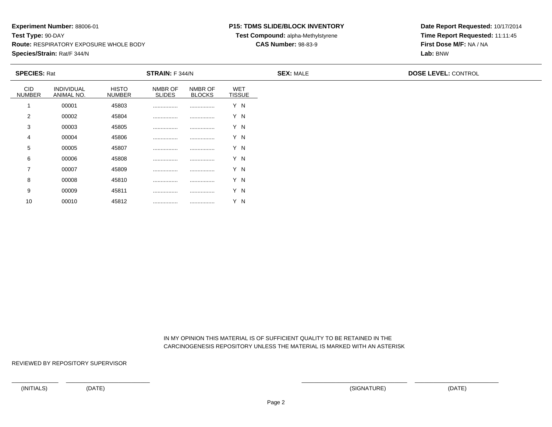<sup>00010</sup> <sup>45812</sup> ................ ................ Y N

### **P15: TDMS SLIDE/BLOCK INVENTORY**

**Test Compound:** alpha-Methylstyrene

### **CAS Number:** 98-83-9

**Date Report Requested:** 10/17/2014**Time Report Requested:** 11:11:45**First Dose M/F:** NA / NA**Lab:** BNW

|                             | <b>SPECIES: Rat</b>      |                               | <b>STRAIN:</b> F 344/N   |                          |                      | <b>SEX: MALE</b> | <b>DOSE LEVEL: CONTROL</b> |  |
|-----------------------------|--------------------------|-------------------------------|--------------------------|--------------------------|----------------------|------------------|----------------------------|--|
| <b>CID</b><br><b>NUMBER</b> | INDIVIDUAL<br>ANIMAL NO. | <b>HISTO</b><br><b>NUMBER</b> | NMBR OF<br><b>SLIDES</b> | NMBR OF<br><b>BLOCKS</b> | WET<br><b>TISSUE</b> |                  |                            |  |
|                             | 00001                    | 45803                         |                          |                          | Y N                  |                  |                            |  |
| 2                           | 00002                    | 45804                         |                          |                          | Y N                  |                  |                            |  |
| 3                           | 00003                    | 45805                         |                          |                          | Y N                  |                  |                            |  |
| 4                           | 00004                    | 45806                         |                          |                          | Y N                  |                  |                            |  |
| 5                           | 00005                    | 45807                         |                          |                          | Y N                  |                  |                            |  |
| 6                           | 00006                    | 45808                         |                          |                          | Y N                  |                  |                            |  |
| $\overline{7}$              | 00007                    | 45809                         |                          |                          | Y N                  |                  |                            |  |
| 8                           | 00008                    | 45810                         |                          |                          | Y N                  |                  |                            |  |
| 9                           | 00009                    | 45811                         |                          |                          | Y N                  |                  |                            |  |
| 10                          | 00010                    | 45812                         |                          |                          | Y N                  |                  |                            |  |

 IN MY OPINION THIS MATERIAL IS OF SUFFICIENT QUALITY TO BE RETAINED IN THECARCINOGENESIS REPOSITORY UNLESS THE MATERIAL IS MARKED WITH AN ASTERISK

REVIEWED BY REPOSITORY SUPERVISOR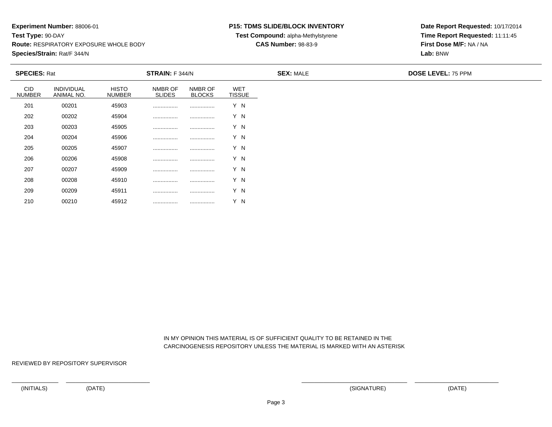<sup>00210</sup> <sup>45912</sup> ................ ................ Y N

### **P15: TDMS SLIDE/BLOCK INVENTORY**

**Test Compound:** alpha-Methylstyrene

### **CAS Number:** 98-83-9

**Date Report Requested:** 10/17/2014**Time Report Requested:** 11:11:45**First Dose M/F:** NA / NA**Lab:** BNW

|                      | <b>SPECIES: Rat</b><br><b>STRAIN:</b> F 344/N |                        |                          |                          | <b>SEX: MALE</b>            |  |  |
|----------------------|-----------------------------------------------|------------------------|--------------------------|--------------------------|-----------------------------|--|--|
| CID<br><b>NUMBER</b> | INDIVIDUAL<br>ANIMAL NO.                      | <b>HISTO</b><br>NUMBER | NMBR OF<br><b>SLIDES</b> | NMBR OF<br><b>BLOCKS</b> | <b>WET</b><br><b>TISSUE</b> |  |  |
| 201                  | 00201                                         | 45903                  |                          |                          | Y N                         |  |  |
| 202                  | 00202                                         | 45904                  |                          |                          | Y N                         |  |  |
| 203                  | 00203                                         | 45905                  |                          |                          | Y N                         |  |  |
| 204                  | 00204                                         | 45906                  |                          |                          | Y N                         |  |  |
| 205                  | 00205                                         | 45907                  |                          |                          | Y N                         |  |  |
| 206                  | 00206                                         | 45908                  |                          |                          | Y N                         |  |  |
| 207                  | 00207                                         | 45909                  |                          |                          | Y N                         |  |  |
| 208                  | 00208                                         | 45910                  |                          |                          | Y N                         |  |  |
| 209                  | 00209                                         | 45911                  |                          |                          | Y N                         |  |  |
| 210                  | 00210                                         | 45912                  |                          |                          | Y N                         |  |  |

 IN MY OPINION THIS MATERIAL IS OF SUFFICIENT QUALITY TO BE RETAINED IN THECARCINOGENESIS REPOSITORY UNLESS THE MATERIAL IS MARKED WITH AN ASTERISK

REVIEWED BY REPOSITORY SUPERVISOR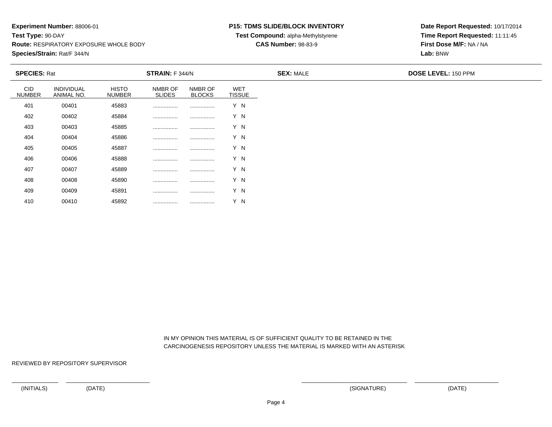### **P15: TDMS SLIDE/BLOCK INVENTORY**

**Test Compound:** alpha-Methylstyrene

**CAS Number:** 98-83-9

**Date Report Requested:** 10/17/2014**Time Report Requested:** 11:11:45**First Dose M/F:** NA / NA**Lab:** BNW

| <b>SPECIES: Rat</b>         |                          |                               | STRAIN: F 344/N          |                          |                             | <b>SEX: MALE</b> | <b>DOSE LEVEL: 150 PPM</b> |
|-----------------------------|--------------------------|-------------------------------|--------------------------|--------------------------|-----------------------------|------------------|----------------------------|
| <b>CID</b><br><b>NUMBER</b> | INDIVIDUAL<br>ANIMAL NO. | <b>HISTO</b><br><b>NUMBER</b> | NMBR OF<br><b>SLIDES</b> | NMBR OF<br><b>BLOCKS</b> | <b>WET</b><br><b>TISSUE</b> |                  |                            |
| 401                         | 00401                    | 45883                         |                          |                          | Y N                         |                  |                            |
| 402                         | 00402                    | 45884                         |                          |                          | Y N                         |                  |                            |
| 403                         | 00403                    | 45885                         |                          |                          | Y N                         |                  |                            |
| 404                         | 00404                    | 45886                         |                          |                          | Y N                         |                  |                            |
| 405                         | 00405                    | 45887                         |                          |                          | Y N                         |                  |                            |
| 406                         | 00406                    | 45888                         |                          |                          | Y N                         |                  |                            |
| 407                         | 00407                    | 45889                         | .                        |                          | Y N                         |                  |                            |
| 408                         | 00408                    | 45890                         |                          |                          | Y N                         |                  |                            |
| 409                         | 00409                    | 45891                         |                          |                          | Y N                         |                  |                            |

 IN MY OPINION THIS MATERIAL IS OF SUFFICIENT QUALITY TO BE RETAINED IN THECARCINOGENESIS REPOSITORY UNLESS THE MATERIAL IS MARKED WITH AN ASTERISK

REVIEWED BY REPOSITORY SUPERVISOR

410

<sup>00410</sup> <sup>45892</sup> ................ ................ Y N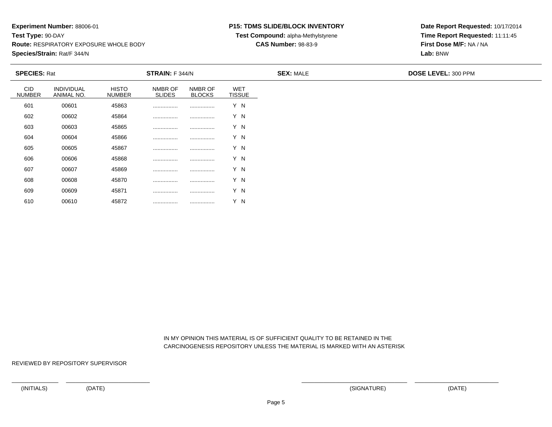### **P15: TDMS SLIDE/BLOCK INVENTORY**

**Test Compound:** alpha-Methylstyrene

### **CAS Number:** 98-83-9

**Date Report Requested:** 10/17/2014**Time Report Requested:** 11:11:45**First Dose M/F:** NA / NA**Lab:** BNW

| <b>SPECIES: Rat</b>         |                          |                               | <b>STRAIN: F 344/N</b>   |                          |                             | <b>SEX: MALE</b> | <b>DOSE LEVEL: 300 PPM</b> |
|-----------------------------|--------------------------|-------------------------------|--------------------------|--------------------------|-----------------------------|------------------|----------------------------|
| <b>CID</b><br><b>NUMBER</b> | INDIVIDUAL<br>ANIMAL NO. | <b>HISTO</b><br><b>NUMBER</b> | NMBR OF<br><b>SLIDES</b> | NMBR OF<br><b>BLOCKS</b> | <b>WET</b><br><b>TISSUE</b> |                  |                            |
| 601                         | 00601                    | 45863                         |                          |                          | Y N                         |                  |                            |
| 602                         | 00602                    | 45864                         |                          |                          | Y N                         |                  |                            |
| 603                         | 00603                    | 45865                         |                          |                          | Y N                         |                  |                            |
| 604                         | 00604                    | 45866                         |                          |                          | Y N                         |                  |                            |
| 605                         | 00605                    | 45867                         |                          |                          | Y N                         |                  |                            |
| 606                         | 00606                    | 45868                         |                          |                          | Y N                         |                  |                            |
| 607                         | 00607                    | 45869                         |                          |                          | Y N                         |                  |                            |
| 608                         | 00608                    | 45870                         |                          |                          | Y N                         |                  |                            |
| 609                         | 00609                    | 45871                         |                          |                          | Y N                         |                  |                            |
| 610                         | 00610                    | 45872                         |                          |                          | Y N                         |                  |                            |

 IN MY OPINION THIS MATERIAL IS OF SUFFICIENT QUALITY TO BE RETAINED IN THECARCINOGENESIS REPOSITORY UNLESS THE MATERIAL IS MARKED WITH AN ASTERISK

REVIEWED BY REPOSITORY SUPERVISOR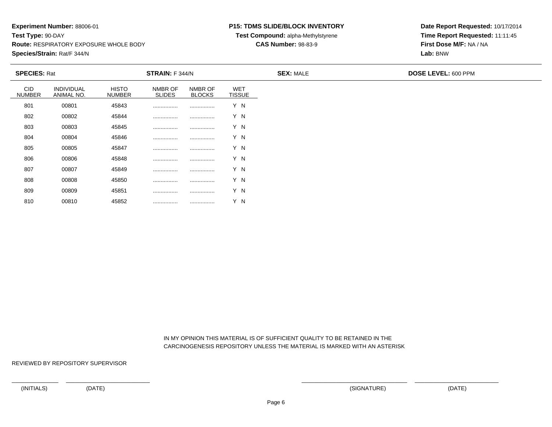### **P15: TDMS SLIDE/BLOCK INVENTORY**

**Test Compound:** alpha-Methylstyrene

**CAS Number:** 98-83-9

**Date Report Requested:** 10/17/2014**Time Report Requested:** 11:11:45**First Dose M/F:** NA / NA**Lab:** BNW

| <b>SPECIES: Rat</b>         |                          |                               | STRAIN: F 344/N          |                          |                             | <b>SEX: MALE</b> | <b>DOSE LEVEL: 600 PPM</b> |
|-----------------------------|--------------------------|-------------------------------|--------------------------|--------------------------|-----------------------------|------------------|----------------------------|
| <b>CID</b><br><b>NUMBER</b> | INDIVIDUAL<br>ANIMAL NO. | <b>HISTO</b><br><b>NUMBER</b> | NMBR OF<br><b>SLIDES</b> | NMBR OF<br><b>BLOCKS</b> | <b>WET</b><br><b>TISSUE</b> |                  |                            |
| 801                         | 00801                    | 45843                         |                          |                          | Y N                         |                  |                            |
| 802                         | 00802                    | 45844                         |                          |                          | Y N                         |                  |                            |
| 803                         | 00803                    | 45845                         |                          |                          | Y N                         |                  |                            |
| 804                         | 00804                    | 45846                         |                          |                          | Y N                         |                  |                            |
| 805                         | 00805                    | 45847                         |                          |                          | Y N                         |                  |                            |
| 806                         | 00806                    | 45848                         |                          |                          | Y N                         |                  |                            |
| 807                         | 00807                    | 45849                         |                          |                          | Y N                         |                  |                            |
| 808                         | 00808                    | 45850                         |                          | .                        | Y N                         |                  |                            |
| 809                         | 00809                    | 45851                         |                          |                          | Y N                         |                  |                            |

 IN MY OPINION THIS MATERIAL IS OF SUFFICIENT QUALITY TO BE RETAINED IN THECARCINOGENESIS REPOSITORY UNLESS THE MATERIAL IS MARKED WITH AN ASTERISK

REVIEWED BY REPOSITORY SUPERVISOR

810

<sup>00810</sup> <sup>45852</sup> ................ ................ Y N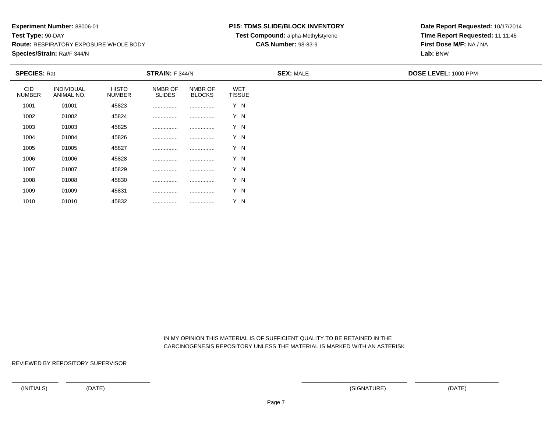<sup>01010</sup> <sup>45832</sup> ................ ................ Y N

### **P15: TDMS SLIDE/BLOCK INVENTORY**

**Test Compound:** alpha-Methylstyrene

**CAS Number:** 98-83-9

**Date Report Requested:** 10/17/2014**Time Report Requested:** 11:11:45**First Dose M/F:** NA / NA**Lab:** BNW

| <b>SPECIES: Rat</b>  |                                 |                               | <b>STRAIN:</b> F 344/N   |                          |                             | <b>SEX: MALE</b> | <b>DOSE LEVEL: 1000 PPM</b> |
|----------------------|---------------------------------|-------------------------------|--------------------------|--------------------------|-----------------------------|------------------|-----------------------------|
| CID<br><b>NUMBER</b> | <b>INDIVIDUAL</b><br>ANIMAL NO. | <b>HISTO</b><br><b>NUMBER</b> | NMBR OF<br><b>SLIDES</b> | NMBR OF<br><b>BLOCKS</b> | <b>WET</b><br><b>TISSUE</b> |                  |                             |
| 1001                 | 01001                           | 45823                         |                          |                          | Y N                         |                  |                             |
| 1002                 | 01002                           | 45824                         |                          |                          | Y N                         |                  |                             |
| 1003                 | 01003                           | 45825                         |                          |                          | Y N                         |                  |                             |
| 1004                 | 01004                           | 45826                         |                          |                          | Y N                         |                  |                             |
| 1005                 | 01005                           | 45827                         |                          |                          | Y N                         |                  |                             |
| 1006                 | 01006                           | 45828                         |                          |                          | Y N                         |                  |                             |
| 1007                 | 01007                           | 45829                         |                          |                          | Y N                         |                  |                             |
| 1008                 | 01008                           | 45830                         |                          |                          | Y N                         |                  |                             |
| 1009                 | 01009                           | 45831                         |                          |                          | Y N                         |                  |                             |
| 1010                 | 01010                           | 45832                         |                          |                          | $\vee$<br>΄Ν                |                  |                             |

 IN MY OPINION THIS MATERIAL IS OF SUFFICIENT QUALITY TO BE RETAINED IN THECARCINOGENESIS REPOSITORY UNLESS THE MATERIAL IS MARKED WITH AN ASTERISK

REVIEWED BY REPOSITORY SUPERVISOR

(INITIALS) (DATE) (SIGNATURE) (DATE)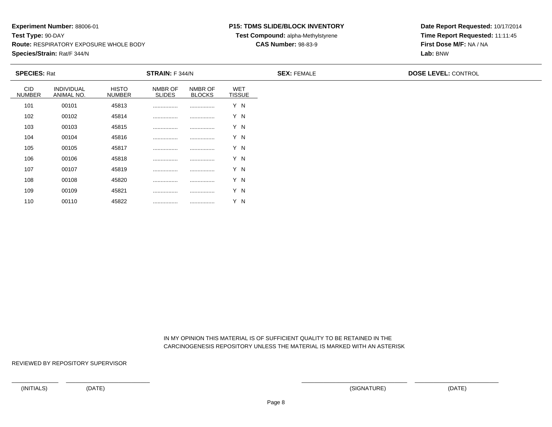#### **P15: TDMS SLIDE/BLOCK INVENTORY**

**Test Compound:** alpha-Methylstyrene

**CAS Number:** 98-83-9

**Date Report Requested:** 10/17/2014**Time Report Requested:** 11:11:45**First Dose M/F:** NA / NA**Lab:** BNW

| <b>SPECIES: Rat</b>         |                          |                               | <b>STRAIN:</b> F 344/N   |                          |                      | <b>SEX: FEMALE</b> | <b>DOSE LEVEL: CONTROL</b> |
|-----------------------------|--------------------------|-------------------------------|--------------------------|--------------------------|----------------------|--------------------|----------------------------|
| <b>CID</b><br><b>NUMBER</b> | INDIVIDUAL<br>ANIMAL NO. | <b>HISTO</b><br><b>NUMBER</b> | NMBR OF<br><b>SLIDES</b> | NMBR OF<br><b>BLOCKS</b> | WET<br><b>TISSUE</b> |                    |                            |
| 101                         | 00101                    | 45813                         |                          |                          | Y N                  |                    |                            |
| 102                         | 00102                    | 45814                         |                          |                          | Y N                  |                    |                            |
| 103                         | 00103                    | 45815                         |                          |                          | Y N                  |                    |                            |
| 104                         | 00104                    | 45816                         |                          |                          | Y N                  |                    |                            |
| 105                         | 00105                    | 45817                         |                          |                          | Y N                  |                    |                            |
| 106                         | 00106                    | 45818                         |                          |                          | Y N                  |                    |                            |
| 107                         | 00107                    | 45819                         |                          |                          | Y N                  |                    |                            |
| 108                         | 00108                    | 45820                         |                          |                          | Y N                  |                    |                            |
| 109                         | 00109                    | 45821                         |                          |                          | Y N                  |                    |                            |
| 110                         | 00110                    | 45822                         |                          |                          | Y N                  |                    |                            |

 IN MY OPINION THIS MATERIAL IS OF SUFFICIENT QUALITY TO BE RETAINED IN THECARCINOGENESIS REPOSITORY UNLESS THE MATERIAL IS MARKED WITH AN ASTERISK

REVIEWED BY REPOSITORY SUPERVISOR

<sup>00110</sup> <sup>45822</sup> ................ ................ Y N

(INITIALS) (DATE) (SIGNATURE) (DATE)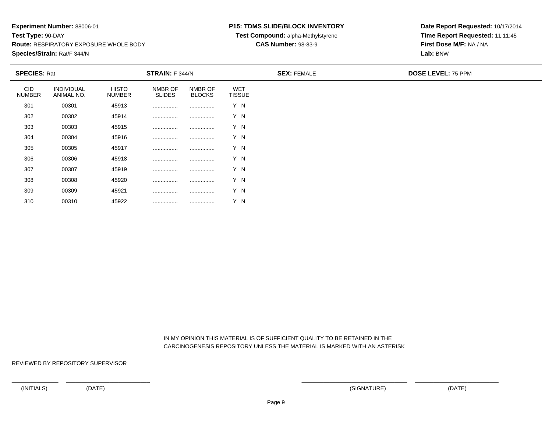<sup>00310</sup> <sup>45922</sup> ................ ................ Y N

#### **P15: TDMS SLIDE/BLOCK INVENTORY**

**Test Compound:** alpha-Methylstyrene

**CAS Number:** 98-83-9

**Date Report Requested:** 10/17/2014**Time Report Requested:** 11:11:45**First Dose M/F:** NA / NA**Lab:** BNW

| <b>SPECIES: Rat</b>  |                                 |                               | <b>STRAIN:</b> F 344/N   |                          |                             | <b>SEX: FEMALE</b> | <b>DOSE LEVEL: 75 PPM</b> |  |  |
|----------------------|---------------------------------|-------------------------------|--------------------------|--------------------------|-----------------------------|--------------------|---------------------------|--|--|
| CID<br><b>NUMBER</b> | <b>INDIVIDUAL</b><br>ANIMAL NO. | <b>HISTO</b><br><b>NUMBER</b> | NMBR OF<br><b>SLIDES</b> | NMBR OF<br><b>BLOCKS</b> | <b>WET</b><br><b>TISSUE</b> |                    |                           |  |  |
| 301                  | 00301                           | 45913                         |                          |                          | Y N                         |                    |                           |  |  |
| 302                  | 00302                           | 45914                         |                          |                          | Y N                         |                    |                           |  |  |
| 303                  | 00303                           | 45915                         |                          |                          | Y N                         |                    |                           |  |  |
| 304                  | 00304                           | 45916                         |                          |                          | Y N                         |                    |                           |  |  |
| 305                  | 00305                           | 45917                         |                          |                          | Y N                         |                    |                           |  |  |
| 306                  | 00306                           | 45918                         |                          |                          | Y N                         |                    |                           |  |  |
| 307                  | 00307                           | 45919                         |                          |                          | Y N                         |                    |                           |  |  |
| 308                  | 00308                           | 45920                         |                          |                          | Y N                         |                    |                           |  |  |
| 309                  | 00309                           | 45921                         |                          |                          | Y N                         |                    |                           |  |  |
| 310                  | 00310                           | 45922                         |                          |                          | Y N                         |                    |                           |  |  |

 IN MY OPINION THIS MATERIAL IS OF SUFFICIENT QUALITY TO BE RETAINED IN THECARCINOGENESIS REPOSITORY UNLESS THE MATERIAL IS MARKED WITH AN ASTERISK

REVIEWED BY REPOSITORY SUPERVISOR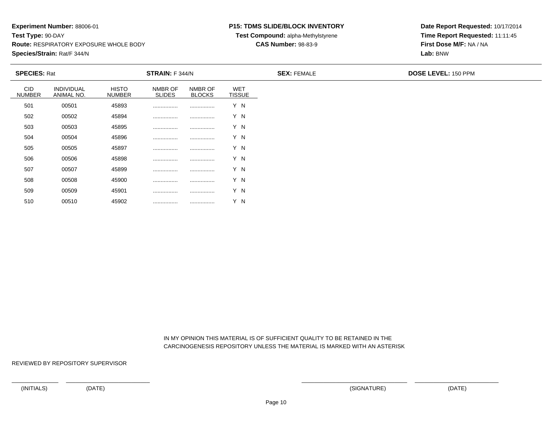<sup>00510</sup> <sup>45902</sup> ................ ................ Y N

### **P15: TDMS SLIDE/BLOCK INVENTORY**

**Test Compound:** alpha-Methylstyrene

**CAS Number:** 98-83-9

**Date Report Requested:** 10/17/2014**Time Report Requested:** 11:11:45**First Dose M/F:** NA / NA**Lab:** BNW

| <b>SPECIES: Rat</b> |                          |                               | STRAIN: F 344/N          |                          |                             | <b>SEX: FEMALE</b> | <b>DOSE LEVEL: 150 PPM</b> |
|---------------------|--------------------------|-------------------------------|--------------------------|--------------------------|-----------------------------|--------------------|----------------------------|
| CID<br>NUMBER       | INDIVIDUAL<br>ANIMAL NO. | <b>HISTO</b><br><b>NUMBER</b> | NMBR OF<br><b>SLIDES</b> | NMBR OF<br><b>BLOCKS</b> | <b>WET</b><br><b>TISSUE</b> |                    |                            |
| 501                 | 00501                    | 45893                         |                          |                          | Y N                         |                    |                            |
| 502                 | 00502                    | 45894                         |                          |                          | Y N                         |                    |                            |
| 503                 | 00503                    | 45895                         |                          |                          | Y N                         |                    |                            |
| 504                 | 00504                    | 45896                         |                          |                          | Y N                         |                    |                            |
| 505                 | 00505                    | 45897                         |                          |                          | Y N                         |                    |                            |
| 506                 | 00506                    | 45898                         |                          |                          | Y N                         |                    |                            |
| 507                 | 00507                    | 45899                         |                          |                          | Y N                         |                    |                            |
| 508                 | 00508                    | 45900                         |                          |                          | Y N                         |                    |                            |
| 509                 | 00509                    | 45901                         |                          |                          | Y N                         |                    |                            |

 IN MY OPINION THIS MATERIAL IS OF SUFFICIENT QUALITY TO BE RETAINED IN THECARCINOGENESIS REPOSITORY UNLESS THE MATERIAL IS MARKED WITH AN ASTERISK

REVIEWED BY REPOSITORY SUPERVISOR

510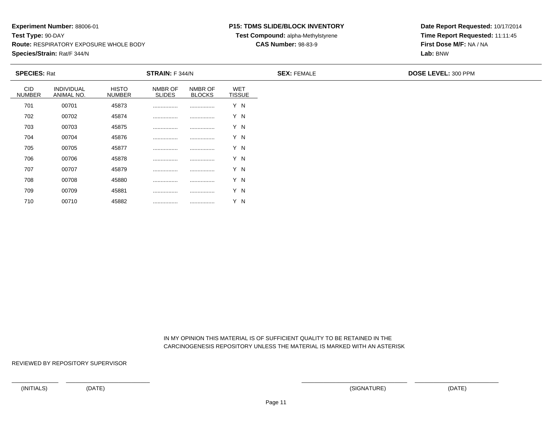### **P15: TDMS SLIDE/BLOCK INVENTORY**

**Test Compound:** alpha-Methylstyrene

**CAS Number:** 98-83-9

**Date Report Requested:** 10/17/2014**Time Report Requested:** 11:11:45**First Dose M/F:** NA / NA**Lab:** BNW

| <b>SPECIES: Rat</b>         |                          |                               | <b>STRAIN:</b> F 344/N   |                          |                             | <b>SEX: FEMALE</b> | DOSE LEVEL: 300 PPM |
|-----------------------------|--------------------------|-------------------------------|--------------------------|--------------------------|-----------------------------|--------------------|---------------------|
| <b>CID</b><br><b>NUMBER</b> | INDIVIDUAL<br>ANIMAL NO. | <b>HISTO</b><br><b>NUMBER</b> | NMBR OF<br><b>SLIDES</b> | NMBR OF<br><b>BLOCKS</b> | <b>WET</b><br><b>TISSUE</b> |                    |                     |
| 701                         | 00701                    | 45873                         |                          |                          | Y N                         |                    |                     |
| 702                         | 00702                    | 45874                         |                          |                          | Y N                         |                    |                     |
| 703                         | 00703                    | 45875                         |                          |                          | Y N                         |                    |                     |
| 704                         | 00704                    | 45876                         |                          |                          | Y N                         |                    |                     |
| 705                         | 00705                    | 45877                         |                          |                          | Y N                         |                    |                     |
| 706                         | 00706                    | 45878                         |                          |                          | Y N                         |                    |                     |
| 707                         | 00707                    | 45879                         |                          |                          | Y N                         |                    |                     |
| 708                         | 00708                    | 45880                         |                          |                          | Y N                         |                    |                     |
| 709                         | 00709                    | 45881                         |                          |                          | Y N                         |                    |                     |

 IN MY OPINION THIS MATERIAL IS OF SUFFICIENT QUALITY TO BE RETAINED IN THECARCINOGENESIS REPOSITORY UNLESS THE MATERIAL IS MARKED WITH AN ASTERISK

REVIEWED BY REPOSITORY SUPERVISOR

710

<sup>00710</sup> <sup>45882</sup> ................ ................ Y N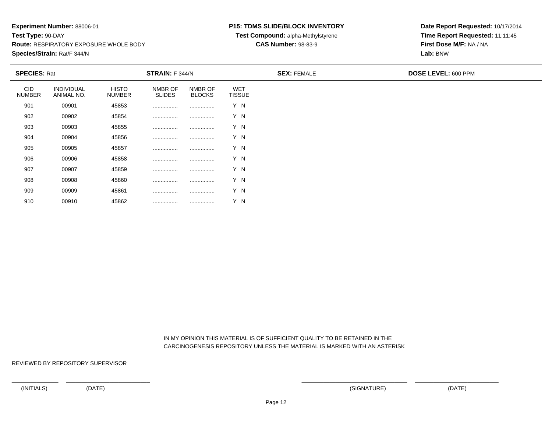### **P15: TDMS SLIDE/BLOCK INVENTORY**

**Test Compound:** alpha-Methylstyrene

### **CAS Number:** 98-83-9

**Date Report Requested:** 10/17/2014**Time Report Requested:** 11:11:45**First Dose M/F:** NA / NA**Lab:** BNW

| <b>SPECIES: Rat</b>         |                          |                               | <b>STRAIN: F 344/N</b>   |                          |                      | <b>SEX: FEMALE</b> | DOSE LEVEL: 600 PPM |
|-----------------------------|--------------------------|-------------------------------|--------------------------|--------------------------|----------------------|--------------------|---------------------|
| <b>CID</b><br><b>NUMBER</b> | INDIVIDUAL<br>ANIMAL NO. | <b>HISTO</b><br><b>NUMBER</b> | NMBR OF<br><b>SLIDES</b> | NMBR OF<br><b>BLOCKS</b> | WET<br><b>TISSUE</b> |                    |                     |
| 901                         | 00901                    | 45853                         |                          |                          | Y N                  |                    |                     |
| 902                         | 00902                    | 45854                         |                          |                          | Y N                  |                    |                     |
| 903                         | 00903                    | 45855                         |                          |                          | Y N                  |                    |                     |
| 904                         | 00904                    | 45856                         |                          |                          | Y N                  |                    |                     |
| 905                         | 00905                    | 45857                         |                          |                          | Y N                  |                    |                     |
| 906                         | 00906                    | 45858                         |                          |                          | Y N                  |                    |                     |
| 907                         | 00907                    | 45859                         |                          |                          | Y N                  |                    |                     |
| 908                         | 00908                    | 45860                         |                          |                          | Y N                  |                    |                     |
| 909                         | 00909                    | 45861                         |                          |                          | Y N                  |                    |                     |
| 910                         | 00910                    | 45862                         |                          |                          | Y N                  |                    |                     |

 IN MY OPINION THIS MATERIAL IS OF SUFFICIENT QUALITY TO BE RETAINED IN THECARCINOGENESIS REPOSITORY UNLESS THE MATERIAL IS MARKED WITH AN ASTERISK

REVIEWED BY REPOSITORY SUPERVISOR

(INITIALS) (DATE) (SIGNATURE) (DATE)